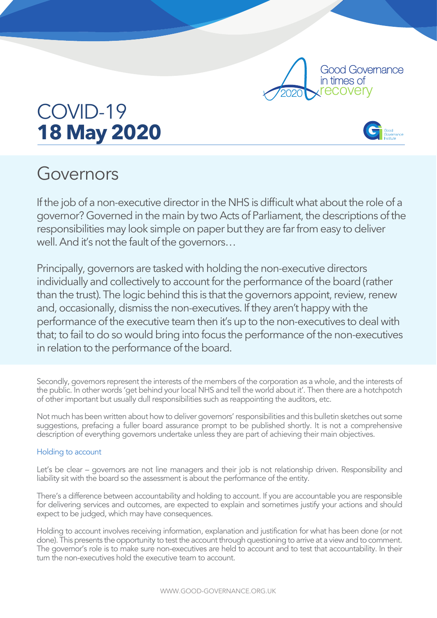

# COVID-19 **18 May 2020**

# Governors

If the job of a non-executive director in the NHS is difficult what about the role of a governor? Governed in the main by two Acts of Parliament, the descriptions of the responsibilities may look simple on paper but they are far from easy to deliver well. And it's not the fault of the governors…

Principally, governors are tasked with holding the non-executive directors individually and collectively to account for the performance of the board (rather than the trust). The logic behind this is that the governors appoint, review, renew and, occasionally, dismiss the non-executives. If they aren't happy with the performance of the executive team then it's up to the non-executives to deal with that; to fail to do so would bring into focus the performance of the non-executives in relation to the performance of the board.

Secondly, governors represent the interests of the members of the corporation as a whole, and the interests of the public. In other words 'get behind your local NHS and tell the world about it'. Then there are a hotchpotch of other important but usually dull responsibilities such as reappointing the auditors, etc.

Not much has been written about how to deliver governors' responsibilities and this bulletin sketches out some suggestions, prefacing a fuller board assurance prompt to be published shortly. It is not a comprehensive description of everything governors undertake unless they are part of achieving their main objectives.

## Holding to account

Let's be clear – governors are not line managers and their job is not relationship driven. Responsibility and liability sit with the board so the assessment is about the performance of the entity.

There's a difference between accountability and holding to account. If you are accountable you are responsible for delivering services and outcomes, are expected to explain and sometimes justify your actions and should expect to be judged, which may have consequences.

Holding to account involves receiving information, explanation and justification for what has been done (or not done). This presents the opportunity to test the account through questioning to arrive at a view and to comment. The governor's role is to make sure non-executives are held to account and to test that accountability. In their turn the non-executives hold the executive team to account.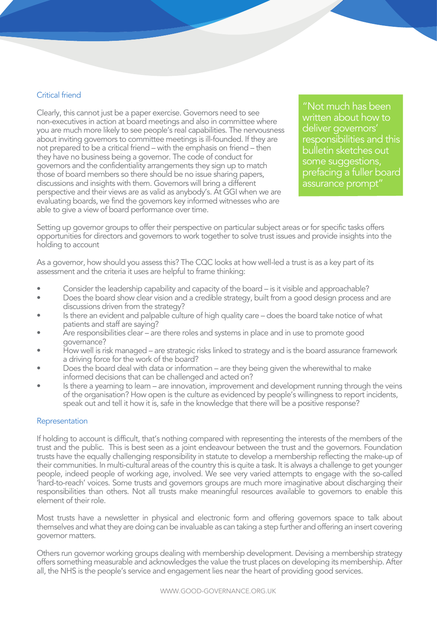### Critical friend

Clearly, this cannot just be a paper exercise. Governors need to see non-executives in action at board meetings and also in committee where you are much more likely to see people's real capabilities. The nervousness about inviting governors to committee meetings is ill-founded. If they are not prepared to be a critical friend – with the emphasis on friend – then they have no business being a governor. The code of conduct for governors and the confidentiality arrangements they sign up to match those of board members so there should be no issue sharing papers, discussions and insights with them. Governors will bring a different perspective and their views are as valid as anybody's. At GGI when we are evaluating boards, we find the governors key informed witnesses who are able to give a view of board performance over time.

"Not much has been written about how to deliver governors' responsibilities and this bulletin sketches out some suggestions, prefacing a fuller board assurance prompt"

Setting up governor groups to offer their perspective on particular subject areas or for specific tasks offers opportunities for directors and governors to work together to solve trust issues and provide insights into the holding to account

As a governor, how should you assess this? The CQC looks at how well-led a trust is as a key part of its assessment and the criteria it uses are helpful to frame thinking:

- Consider the leadership capability and capacity of the board is it visible and approachable?
- Does the board show clear vision and a credible strategy, built from a good design process and are discussions driven from the strategy?
- Is there an evident and palpable culture of high quality care does the board take notice of what patients and staff are saying?
- Are responsibilities clear are there roles and systems in place and in use to promote good governance?
- How well is risk managed are strategic risks linked to strategy and is the board assurance framework a driving force for the work of the board?
- Does the board deal with data or information are they being given the wherewithal to make informed decisions that can be challenged and acted on?
- Is there a yearning to learn are innovation, improvement and development running through the veins of the organisation? How open is the culture as evidenced by people's willingness to report incidents, speak out and tell it how it is, safe in the knowledge that there will be a positive response?

#### Representation

If holding to account is difficult, that's nothing compared with representing the interests of the members of the trust and the public. This is best seen as a joint endeavour between the trust and the governors. Foundation trusts have the equally challenging responsibility in statute to develop a membership reflecting the make-up of their communities. In multi-cultural areas of the country this is quite a task. It is always a challenge to get younger people, indeed people of working age, involved. We see very varied attempts to engage with the so-called 'hard-to-reach' voices. Some trusts and governors groups are much more imaginative about discharging their responsibilities than others. Not all trusts make meaningful resources available to governors to enable this element of their role.

Most trusts have a newsletter in physical and electronic form and offering governors space to talk about themselves and what they are doing can be invaluable as can taking a step further and offering an insert covering governor matters.

Others run governor working groups dealing with membership development. Devising a membership strategy offers something measurable and acknowledges the value the trust places on developing its membership. After all, the NHS is the people's service and engagement lies near the heart of providing good services.